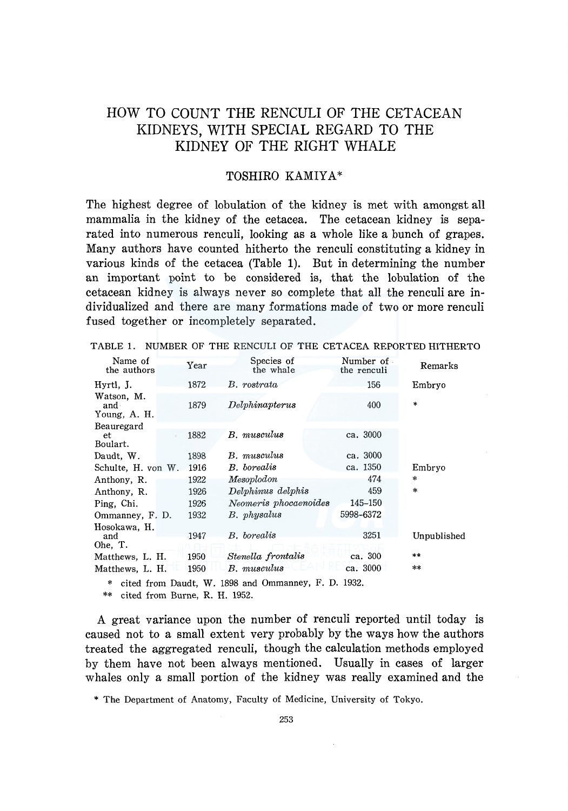# HOW TO COUNT THE RENCULI OF THE CETACEAN KIDNEYS, WITH SPECIAL REGARD TO THE KIDNEY OF THE RIGHT WHALE

# TOSHIRO KAMIYA\*

The highest degree of lobulation of the kidney is met with amongst all mammalia in the kidney of the cetacea. The cetacean kidney is separated into numerous renculi, looking as a whole like a bunch of grapes. Many authors have counted hitherto the renculi constituting a kidney in various kinds of the cetacea (Table 1). But in determining the number an important point to be considered is, that the lobulation of the cetacean kidney is always never so complete that all the renculi are individualized and there are many formations made of two or more renculi fused together or incompletely separated.

| Name of<br>the authors            | Year | Species of<br>the whale | Number of<br>the renculi | Remarks     |
|-----------------------------------|------|-------------------------|--------------------------|-------------|
| Hyrtl, J.                         | 1872 | B. rostrata             | 156                      | Embryo      |
| Watson, M.<br>and<br>Young, A. H. | 1879 | Delphinapterus          | 400                      | $\ast$      |
| Beauregard                        |      |                         |                          |             |
| et.<br>Boulart.                   | 1882 | B. musculus             | ca. 3000                 |             |
| Daudt. W.                         | 1898 | B. musculus             | ca. 3000                 |             |
| Schulte, H. von W.                | 1916 | <b>B.</b> borealis      | ca. 1350                 | Embryo      |
| Anthony, R.                       | 1922 | Mesoplodon              | 474                      | *           |
| Anthony, R.                       | 1926 | Delphinus delphis       | 459                      | $\approx$   |
| Ping, Chi.                        | 1926 | Neomeris phocaenoides   | 145-150                  |             |
| Ommanney, F. D.                   | 1932 | B. physalus             | 5998-6372                |             |
| Hosokawa, H.                      |      |                         |                          |             |
| and                               | 1947 | B. borealis             | 3251                     | Unpublished |
| Ohe, T.                           |      |                         | ca. 300                  | **          |
| Matthews, L. H.                   | 1950 | Stenella frontalis      |                          |             |
| Matthews, L. H.                   | 1950 | B. musculus             | ca. 3000                 | **          |

TABLE 1. NUMBER OF THE RENCULI OF THE CETACEA REPORTED HITHERTO

\* cited from Daudt, W. 1898 and Ommanney, F. D. 1932.

\*\* cited from Burne, R. H. 1952.

A great variance upon the number of renculi reported until today is caused not to a small extent very probably by the ways how the authors treated the aggregated renculi, though the calculation methods employed by them have not been always mentioned. Usually in cases of larger whales only a small portion of the kidney was really examined and the

\* The Department of Anatomy, Faculty of Medicine, University of Tokyo.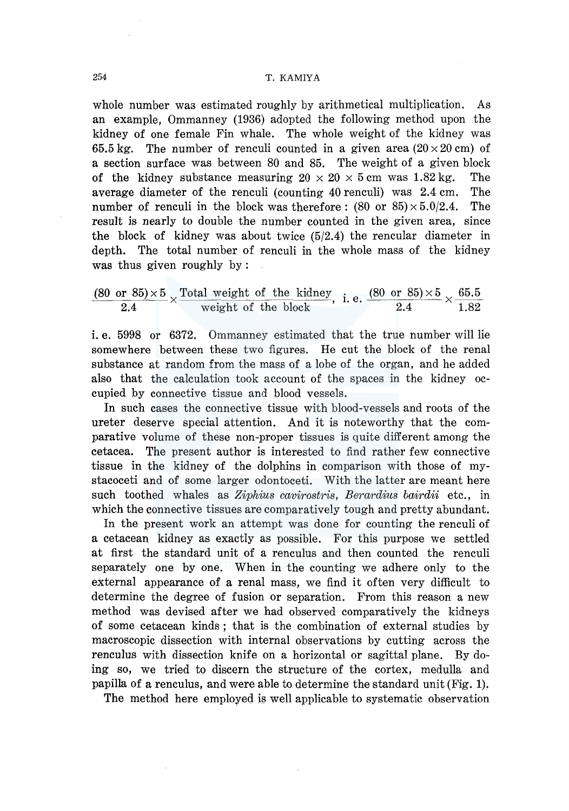whole number was estimated roughly by arithmetical multiplication. As an example, Ommanney (1936) adopted the following method upon the kidney of one female Fin whale. The whole weight of the kidney was 65.5 kg. The number of renculi counted in a given area  $(20 \times 20 \text{ cm})$  of a section surface was between 80 and 85. The weight of a given block of the kidney substance measuring  $20 \times 20 \times 5$  cm was 1.82 kg. The average diameter of the renculi (counting 40 renculi) was 2.4 cm. The number of renculi in the block was therefore:  $(80 \text{ or } 85) \times 5.0/2.4$ . The result is nearly to double the number counted in the given area, since the block of kidney was about twice  $(5/2.4)$  the rencular diameter in depth. The total number of renculi in the whole mass of the kidney was thus given roughly by :

$$
\frac{(80 \text{ or } 85) \times 5}{2.4} \times \frac{\text{Total weight of the kidney}}{\text{weight of the block}}, \text{ i. e. } \frac{(80 \text{ or } 85) \times 5}{2.4} \times \frac{65.5}{1.82}
$$

i. e. 5998 or 6372. Ommanney estimated that the true number will lie somewhere between these two figures. He cut the block of the renal substance at random from the mass of a lobe of the organ, and he added also that the calculation took account of the spaces in the kidney occupied by connective tissue and blood vessels.

In such cases the connective tissue with blood-vessels and roots of the ureter deserve special attention. And it is noteworthy that the comparative volume of these non-proper tissues is quite different among the cetacea. The present author is interested to find rather few connective tissue in the kidney of the dolphins in comparison with those of mystacoceti and of some larger odontoceti. With the latter are meant here such toothed whales as *Ziphius cavirostris, Berardius bairdii* etc., in which the connective tissues are comparatively tough and pretty abundant.

In the present work an attempt was done for counting the renculi of a cetacean kidney as exactly as possible. For this purpose we settled at first the standard unit of a renculus and then counted the renculi separately one by one. When in the counting we adhere only to the external appearance of a renal mass, we find it often very difficult to determine the degree of fusion or separation. From this reason a new method was devised after we had observed comparatively the kidneys of some cetacean kinds ; that is the combination of external studies by macroscopic dissection with internal observations by cutting across the renculus with dissection knife on a horizontal or sagittal plane. By doing so, we tried to discern the structure of the cortex, medulla and papilla of a renculus, and were able to determine the standard unit (Fig. 1).

The method here employed is well applicable to systematic observation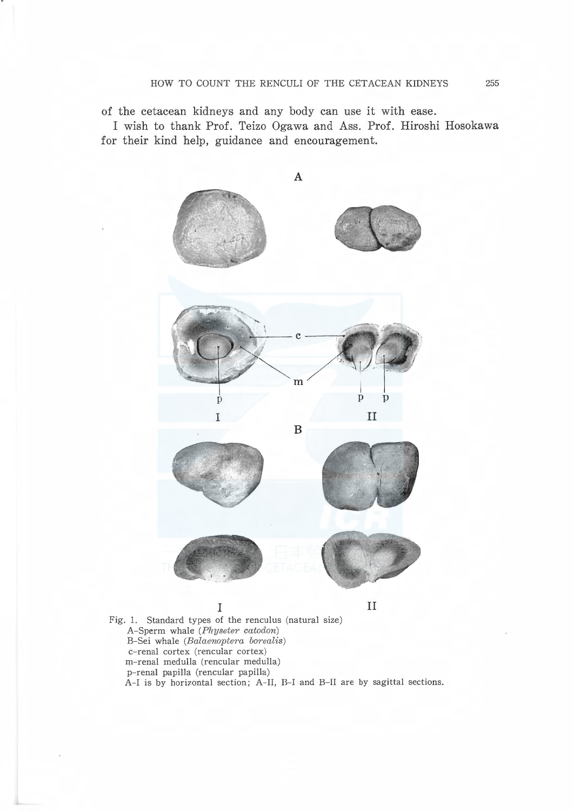of the cetacean kidneys and any body can use it with ease.

I wish to thank Prof. Teizo Ogawa and Ass. Prof. Hiroshi Hosokawa for their kind help, guidance and encouragement.



A-Sperm whale (Physeter catodon) B-Sei whale (Balaenoptera borealis) c-renal cortex (rencular cortex) m-renal medulla (rencular medulla) p-renal papilla (rencular papilla) A-I is by horizontal section; A-II, B-I and B-II are by sagittal sections.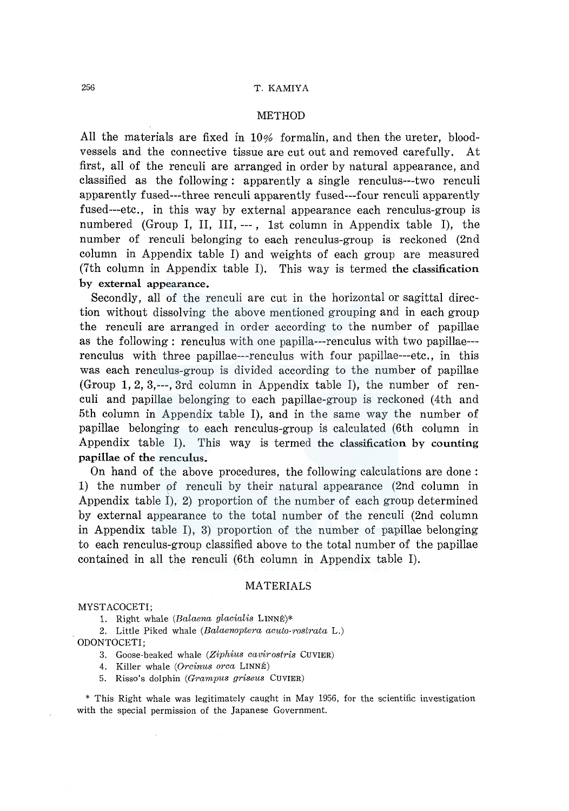#### METHOD

All the materials are fixed in 10% formalin, and then the ureter, bloodvessels and the connective tissue are cut out and removed carefully. At first, all of the renculi are arranged in order by natural appearance, and classified as the following: apparently a single renculus---two renculi apparently fused---three renculi apparently fused---four renculi apparently fused---etc., in this way by external appearance each renculus-group is numbered (Group I, II, III, ---, 1st column in Appendix table I), the number of renculi belonging to each renculus-group is reckoned (2nd column in Appendix table I) and weights of each group are measured (7th column in Appendix table I). This way is termed the classification by external appearance.

Secondly, all of the renculi are cut in the horizontal or sagittal direction without dissolving the above mentioned grouping and in each group the renculi are arranged in order according to the number of papillae as the following : renculus with one papilla---renculus with two papillae-- renculus with three papillae---renculus with four papillae---etc., in this was each renculus-group is divided according to the number of papillae (Group 1, 2, 3,---, 3rd column in Appendix table I), the number of renculi and papillae belonging to each papillae-group is reckoned (4th and 5th column in Appendix table I), and in the same way the number of papillae belonging to each renculus-group is calculated (6th column in Appendix table I). This way is termed the classification by counting papillae of the renculus.

On hand of the above procedures, the following calculations are done : 1) the number of renculi by their natural appearance (2nd column in Appendix table I), 2) proportion of the number of each group determined by external appearance to the total number of the renculi (2nd column in Appendix table I), 3) proportion of the number of papillae belonging to each renculus-group classified above to the total number of the papillae contained in all the renculi (6th column in Appendix table I).

#### MATERIALS

MYST ACOCETI;

1. Right whale *(Balaena glacialis* LINNE)\*

2. Little Piked whale *(Balaenoptera acuto-rostrata* L.) ODONTOCETI;

3. Goose-beaked whale *(Ziphius cavirostris* CUVIER)

4. Killer whale *(Orcinus area* LINNE)

5. Risso's dolphin *(Grampus griseus* CUVIER)

\* This Right whale was legitimately caught in May 1956, for the scientific investigation with the special permission of the Japanese Government.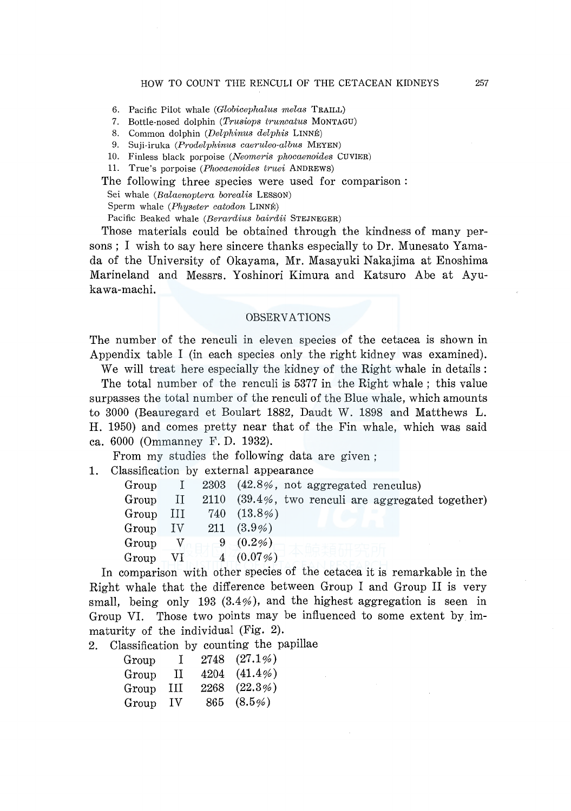- 6. Pacific Pilot whale *(Globicephalus melas* TRAILL)
- 7. Bottle-nosed dolphin *(Trusiops truncatus* MONTAGU)
- 8. Common dolphin *(Delphinus delphis* LINNE)
- 9. Suji-iruka *(Prodelphinus caeruleo-albus* MEYEN)
- 10. Finless black porpoise *(Neomeris phocaenoides* CUVIER)
- 11. True's porpoise *(Phocaenoides truei* ANDREWS)

The following three species were used for comparison : Sei whale *(Balaenoptera borealis* LESSON) Sperm whale *(Physeter catodon* LINNE) Pacific Beaked whale *(Berardius bairdii* STEJNEGER)

Those materials could be obtained through the kindness of many persons; I wish to say here sincere thanks especially to Dr. Munesato Yamada of the University of Okayama, Mr. Masayuki Nakajima at Enoshima Marineland and Messrs. Yoshinori Kimura and Katsuro Abe at Ayukawa-machi.

#### OBSERVATIONS

The number of the renculi in eleven species of the cetacea is shown in Appendix table I (in each species only the right kidney was examined).

We will treat here especially the kidney of the Right whale in details:

The total number of the renculi is 5377 in the Right whale ; this value surpasses the total number of the renculi of the Blue whale, which amounts to 3000 (Beauregard et Boulart 1882, Daudt W. 1898 and Matthews L. H. 1950) and comes pretty near that of the Fin whale, which was said ea. 6000 (Ommanney F. D. 1932).

From my studies the following data are given ;

1. Classification by external appearance

| Group          | $\pm$        |     | 2303 (42.8%, not aggregated renculus)                 |
|----------------|--------------|-----|-------------------------------------------------------|
| Group          | $\prod$      |     | 2110 $(39.4\%$ , two renculi are aggregated together) |
| Group          | Ш            | 740 | $(13.8\%)$                                            |
| $_{\rm Group}$ | $\rm IV$     |     | $211(3.9\%)$                                          |
| Group          | $\mathbf{V}$ |     | 9 $(0.2\%)$                                           |
| Group          | V1           |     | $4(0.07\%)$                                           |
|                |              |     |                                                       |

In comparison with other species of the cetacea it is remarkable in the Right whale that the difference between Group I and Group II is very small, being only 193 (3.4%), and the highest aggregation is seen in Group VI. Those two points may be influenced to some extent by immaturity of the individual (Fig. 2).

2. Classification by counting the papillae

| Group | T   | 2748 (27.1%)  |
|-------|-----|---------------|
| Group | П   | 4204 (41.4%)  |
| Group | Ш   | 2268 (22.3%)  |
| Group | TV. | $865 (8.5\%)$ |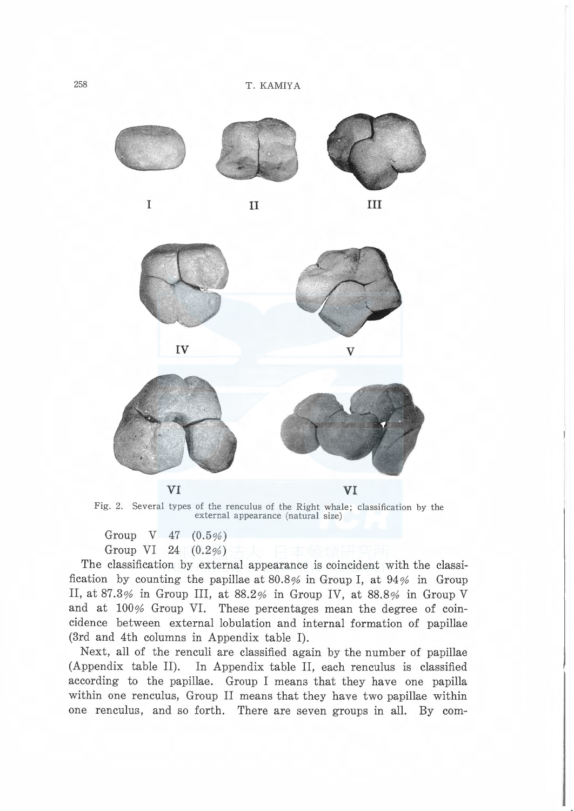





VI VI

Fig. 2. Several types of the renculus of the Right whale; classification by the external appearance (natural size)

Group V 47 (0.5%) Group VI 24 (0.2%)

The classification by external appearance is coincident with the classification by counting the papillae at  $80.8\%$  in Group I, at  $94\%$  in Group II, at 87.3% in Group III, at 88.2% in Group IV, at 88.8% in Group V and at 100% Group VI. These percentages mean the degree of coincidence between external lobulation and internal formation of papillae (3rd and 4th columns in Appendix table I).

Next, all of the renculi are classified again by the number of papillae (Appendix table II). In Appendix table II, each renculus is classified according to the papillae. Group I means that they have one papilla within one renculus, Group II means that they have two papillae within one renculus, and so forth. There are seven groups in all. By com-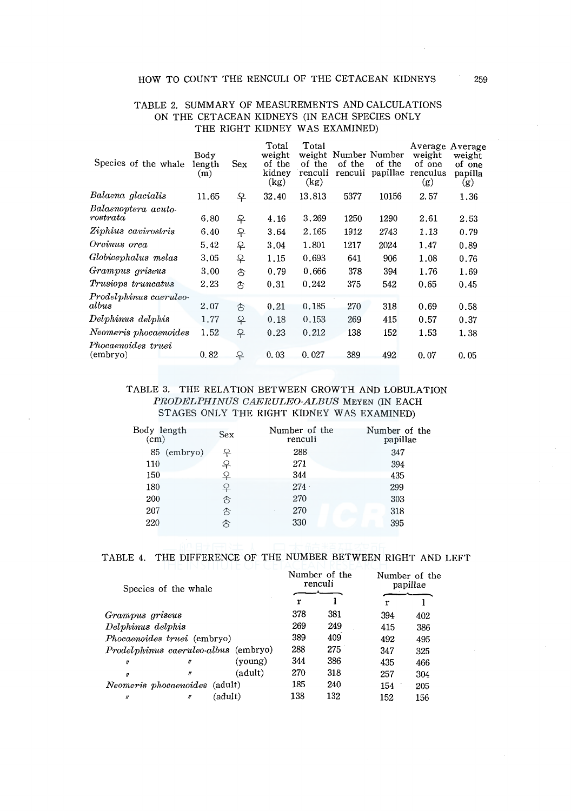## HOW TO COUNT THE RENCULI OF THE CETACEAN KIDNEYS 259

| Body<br>(m) | Sex    | weight<br>of the<br>kidney<br>(kg) | weight<br>of the<br>renculi<br>(kg) | of the<br>renculi | of the<br>papillae | weight<br>of one<br>renculus<br>(g) | Average<br>weight<br>of one<br>papilla<br>(g) |
|-------------|--------|------------------------------------|-------------------------------------|-------------------|--------------------|-------------------------------------|-----------------------------------------------|
| 11.65       |        | 32.40                              | 13.813                              | 5377              | 10156              | 2.57                                | 1.36                                          |
| 6.80        |        | 4.16                               | 3.269                               | 1250              | 1290               | 2.61                                | 2.53                                          |
| 6.40        |        | 3.64                               | 2.165                               | 1912              | 2743               | 1.13                                | 0.79                                          |
| 5.42        | 우      | 3.04                               | 1.801                               | 1217              | 2024               | 1.47                                | 0.89                                          |
| 3.05        | 우      | 1.15                               | 0.693                               | 641               | 906                | 1.08                                | 0.76                                          |
| 3.00        | 含      | 0.79                               | 0.666                               | 378               | 394                | 1.76                                | 1.69                                          |
| 2.23        | €      | 0.31                               | 0.242                               | 375               | 542                | 0.65                                | 0.45                                          |
| 2.07        | €      | 0.21                               | 0.185                               | 270               | 318                | 0.69                                | 0.58                                          |
| 1.77        | ₽      | 0.18                               | 0.153                               | 269               | 415                | 0.57                                | 0.37                                          |
| 1.52        |        | 0.23                               | 0.212                               | 138               | 152                | 1.53                                | 1.38                                          |
| 0.82        | 우      | 0.03                               | 0.027                               | 389               | 492                | 0.07                                | 0.05                                          |
|             | length | 우<br>₽<br>우<br>우                   | Total                               | Total             |                    | Number Number                       | Average                                       |

### TABLE 2. SUMMARY OF MEASUREMENTS AND CALCULATIONS ON THE CETACEAN KIDNEYS (IN EACH SPECIES ONLY THE RIGHT KIDNEY WAS EXAMINED)

## TABLE 3. THE RELATION BETWEEN GROWTH AND LOBULATION *PRODELPHINUS CAERULEO-ALBUS* MEYEN (IN EACH ST AGES ONLY THE RIGHT KIDNEY WAS EXAMINED)

| Body length<br>(cm) | <b>Sex</b> | Number of the<br>renculi | Number of the<br>papillae |
|---------------------|------------|--------------------------|---------------------------|
| 85 (embryo)         | ♀          | 288                      | 347                       |
| 110                 | 우          | 271                      | 394                       |
| 150                 | ₽          | 344                      | 435                       |
| 180                 | ₽          | 274.                     | 299                       |
| 200                 | お          | 270                      | 303                       |
| 207                 | ൂ          | 270                      | 318                       |
| 220                 | 含          | 330                      | 395                       |
|                     |            |                          |                           |

|  | TABLE 4. THE DIFFERENCE OF THE NUMBER BETWEEN RIGHT AND LEFT |  |  |  |  |
|--|--------------------------------------------------------------|--|--|--|--|
|  |                                                              |  |  |  |  |

| Species of the whale |                                      |         |     | Number of the<br>renculi | Number of the<br>papillae |     |
|----------------------|--------------------------------------|---------|-----|--------------------------|---------------------------|-----|
|                      |                                      |         | r   |                          | r                         |     |
| Grampus griseus      |                                      |         | 378 | 381                      | 394                       | 402 |
| Delphinus delphis    |                                      |         | 269 | 249                      | 415                       | 386 |
|                      | <i>Phocaenoides truei</i> (embryo)   |         | 389 | 409                      | 492                       | 495 |
|                      | Prodelphinus caeruleo-albus (embryo) |         | 288 | 275                      | 347                       | 325 |
| $\boldsymbol{H}$     | $\boldsymbol{H}$                     | (voung) | 344 | 386                      | 435                       | 466 |
| $\boldsymbol{n}$     | $^{\prime\prime}$                    | (adult) | 270 | 318                      | 257                       | 304 |
|                      | <i>Neomeris phocaenoides</i> (adult) |         | 185 | 240                      | 154                       | 205 |
| $\prime$             | (adult)<br>n                         |         | 138 | 132                      | 152                       | 156 |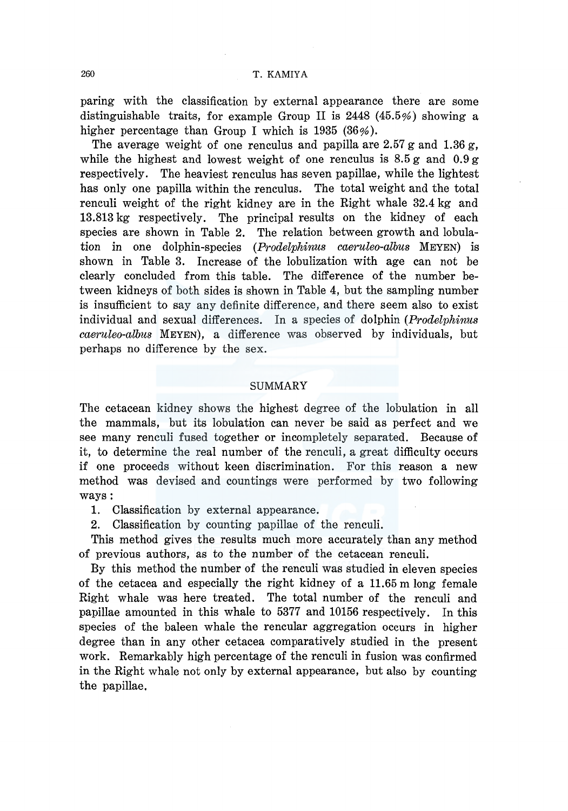### 260 T. KAMIYA

paring with the classification by external appearance there are some distinguishable traits, for example Group II is 2448 (45.5%) showing a higher percentage than Group I which is 1935 (36%).

The average weight of one renculus and papilla are  $2.57$  g and  $1.36$  g, while the highest and lowest weight of one renculus is  $8.5 g$  and  $0.9 g$ respectively. The heaviest renculus has seven papillae, while the lightest has only one papilla within the renculus. The total weight and the total renculi weight of the right kidney are in the Right whale 32.4 kg and 13.813 kg respectively. The principal results on the kidney of each species are shown in Table 2. The relation between growth and lobulation in one dolphin-species *(Prodelphinus caeruleo-albus* MEYEN) is shown in Table 3. Increase of the lobulization with age can not be clearly concluded from this table. The difference of the number between kidneys of both sides is shown in Table 4, but the sampling number is insufficient to say any definite difference, and there seem also to exist individual and sexual differences. In a species of dolphin *(Prodelphinus caeruleo-albus* MEYEN), a difference was observed by individuals, but perhaps no difference by the sex.

### SUMMARY

The cetacean kidney shows the highest degree of the lobulation in all the mammals, but its lobulation can never be said as perfect and we see many renculi fused together or incompletely separated. Because of it, to determine the real number of the renculi, a great difficulty occurs if one proceeds without keen discrimination. For this reason a new method was devised and countings were performed by two following ways:

1. Classification by external appearance.

2. Classification by counting papillae of the renculi.

This method gives the results much more accurately than any method of previous authors, as to the number of the cetacean renculi.

By this method the number of the renculi was studied in eleven species of the cetacea and especially the right kidney of a 11.65 m long female Right whale was here treated. The total number of the renculi and papillae amounted in this whale to 5377 and 10156 respectively. In this species of the baleen whale the rencular aggregation occurs in higher degree than in any other cetacea comparatively studied in the present work. Remarkably high percentage of the renculi in fusion was confirmed in the Right whale not only by external appearance, but also by counting the papillae.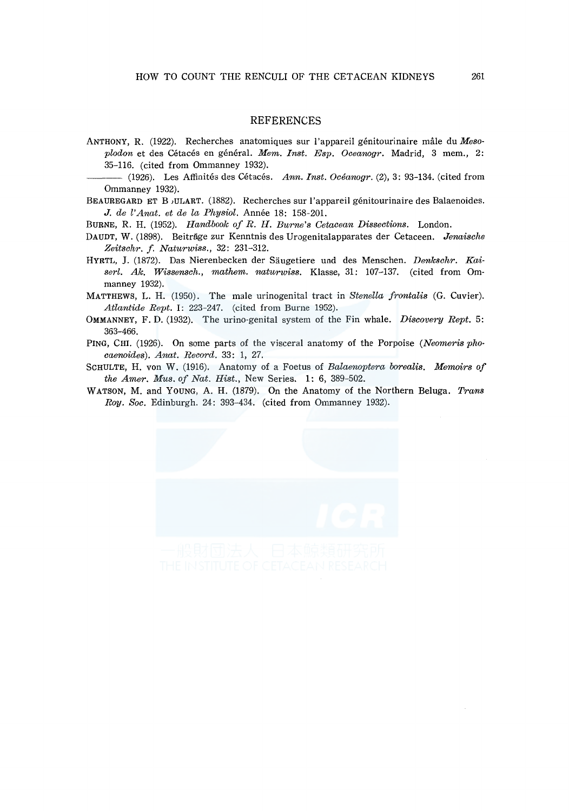#### REFERENCES

- ANTHONY, R. (1922). Recherches anatomiques sur l'appareil genitourinaire male du *Mesoplodon* et des Cetaces en general. *Mem. Inst. Esp. Oceanogr.* Madrid, 3 mem., 2: 35-116. (cited from Ommanney 1932).
- (1926). Les Affinités des Cétacés. Ann. Inst. Océanogr. (2), 3: 93-134. (cited from Ommanney 1932).

BEAUREGARD ET B 1ULART. (1882). Recherches sur l'appareil genitourinaire des Balaenoides. *J. de l'Anat. et de la Physiol.* Annee 18: 158-201.

BURNE, R. H. (1952). *Handbook of R. H. Burne's Cetacean Dissections.* London.

- DAUDT, W. (1898). Beitrage zur Kenntnis des Urogenitalapparates der Cetaceen. *Jenaische Zeitschr. f. Naturwiss.,* 32: 231-312.
- HYRTL, J. (1872). Das Nierenbecken der Saugetiere und des Menschen. *Denkschr. Kaiser[. Ak. Wissensch., mathem. naturwiss.* Klasse, 31: 107-137. (cited from Ommanney 1932).

MATTHEWS, L. H. (1950). The male urinogenital tract in *Stenella frontalis* (G. Cuvier). *Atlantide Rept.* I: 223-247. (cited from Burne 1952).

- OMMANNEY, F. D. (1932). The urino-genital system of the Fin whale. *Discovery Rept.* 5: 363-466.
- PING, CHI. (1926). On some parts of the visceral anatomy of the Porpoise *(Neomeris phocaenoides). Anat. Record.* 33: 1, 27.
- SCHULTE, H. von W. (1916). Anatomy of a Foetus of *Balaenoptera borealis. Memoirs of the Amer. Mus. of Nat. Hist.,* New Series. 1: 6, 389-502.
- WATSON, M. and YOUNG, A. H. (1879). On the Anatomy of the Northern Beluga. *Trans Roy. Soc.* Edinburgh. 24: 393-434. (cited from Ommanney 1932).

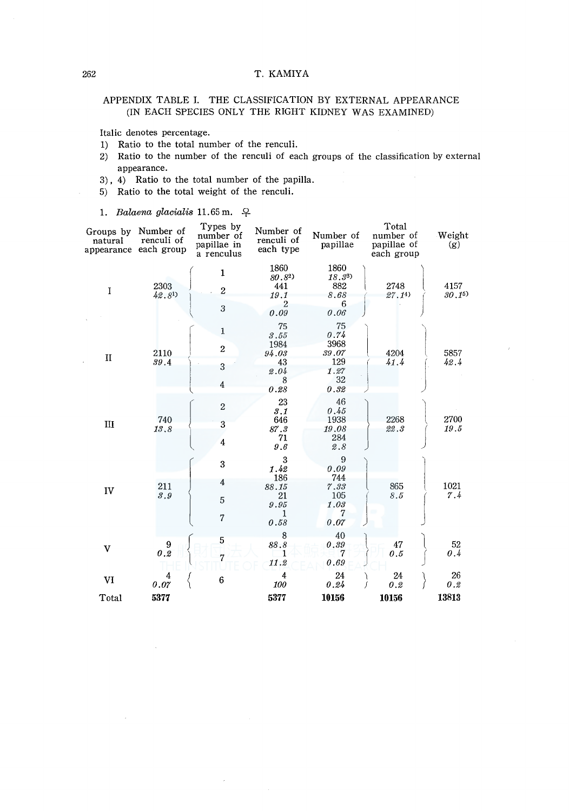#### 262 T. KAMIYA

## APPENDIX TABLE I. THE CLASSIFICATION BY EXTERNAL APPEARANCE (IN EACH SPECIES ONLY THE RIGHT KIDNEY WAS EXAMINED)

Italic denotes percentage.

- 1) Ratio to the total number of the renculi.
- 2) Ratio to the number of the renculi of each groups of the classification by external appearance.
- 3), 4) Ratio to the total number of the papilla.
- 5) Ratio to the total weight of the renculi.
- 1. *Balaena glacialis* 11.65 m.  $\varphi$

| Groups by<br>natural | Number of<br>renculi of<br>appearance each group | Types by<br>number of<br>papillae in<br>a renculus | Number of<br>renculi of<br>each type                   | Number of<br>papillae                                    | Total<br>number of<br>papillae of<br>each group | Weight<br>(g)  |
|----------------------|--------------------------------------------------|----------------------------------------------------|--------------------------------------------------------|----------------------------------------------------------|-------------------------------------------------|----------------|
| Ĩ                    | 2303<br>$42.8^{1}$                               | $\mathbf{1}$<br>$\overline{2}$<br>3                | 1860<br>$80.8^{2}$<br>441<br>19.1<br>2<br>0.09         | 1860<br>18,33<br>882<br>8.68<br>6<br>0.06                | 2748<br>27.14)                                  | 4157<br>30, 15 |
| $\mathbf{I}$         | 2110<br>39.4                                     | 1<br>$\boldsymbol{2}$<br>3<br>$\overline{4}$       | 75<br>3.55<br>1984<br>94.03<br>43<br>2.04<br>8<br>0.28 | 75<br>0.74<br>3968<br>39.07<br>129<br>1.27<br>32<br>0.32 | 4204<br>41.4                                    | 5857<br>42.4   |
| III                  | 740<br>13.8                                      | $\overline{2}$<br>3<br>$\overline{4}$              | 23<br>3.1<br>646<br>87.3<br>71<br>9.6                  | 46<br>0.45<br>1938<br>19.08<br>284<br>2.8                | 2268<br>22.3                                    | 2700<br>19.5   |
| IV                   | 211<br>8.9                                       | 3<br>4<br>5<br>$\overline{7}$                      | 3<br>1.42<br>186<br>88.15<br>21<br>9.95<br>1<br>0.58   | 9<br>0.09<br>744<br>7.33<br>105<br>1.03<br>7<br>0.07     | 865<br>8.5                                      | 1021<br>7.4    |
| v                    | $\begin{smallmatrix} &9\0.2\end{smallmatrix}$    | 5<br>$\overline{7}$                                | 8<br>88.8<br>1<br>11.2                                 | 40<br>0.39<br>7<br>0.69                                  | 47<br>0.5                                       | 52<br>0.4      |
| VI                   | 4<br>0.07                                        | 6                                                  | 4<br>100                                               | 24<br>0.24                                               | 24<br>0.2                                       | 26<br>0.2      |
| Total                | 5377                                             |                                                    | 5377                                                   | 10156                                                    | 10156                                           | 13813          |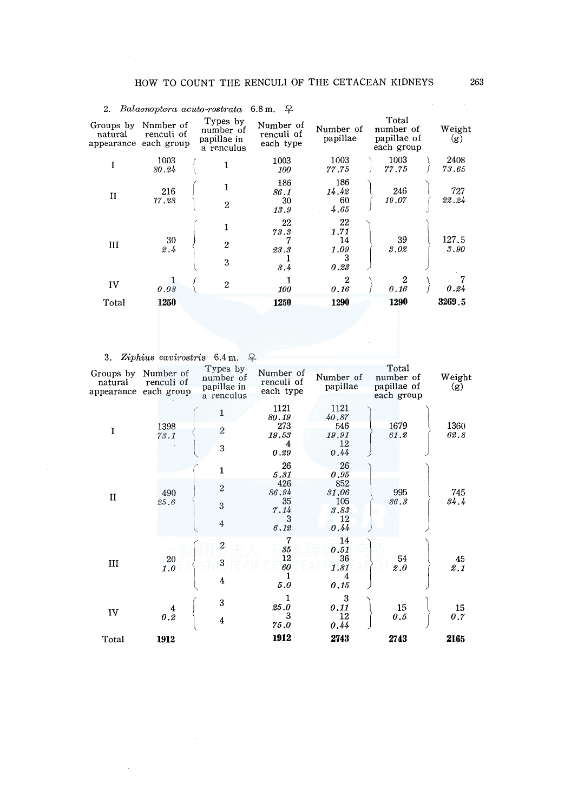|                      |                                                  | $\Delta$ . Danishiptera activity-restratation in $\pm$ |                                      |                                       |                                                 |               |
|----------------------|--------------------------------------------------|--------------------------------------------------------|--------------------------------------|---------------------------------------|-------------------------------------------------|---------------|
| Groups by<br>natural | Nnmber of<br>renculi of<br>appearance each group | Types by<br>number of<br>papillae in<br>a renculus     | Number of<br>renculi of<br>each type | Number of<br>papillae                 | Total<br>number of<br>papillae of<br>each group | Weight<br>(g) |
|                      | 1003<br>80.24                                    |                                                        | 1003<br>100                          | 1003<br>77.75                         | 1003<br>77.75                                   | 2408<br>73.65 |
| $\mathbf{I}$         | 216<br>17.28                                     | $\mathbf{1}$<br>$\overline{2}$                         | 186<br>86.1<br>30<br>13.9            | 186<br>14,42<br>60<br>4.65            | 246<br>19.07                                    | 727<br>22.24  |
| Ш                    | 30<br>2.4                                        | 1<br>$\overline{2}$<br>3                               | 22<br>73.3<br>7<br>23.3<br>3.4       | 22<br>1.71<br>14<br>1.09<br>3<br>0.23 | 39<br>3.02                                      | 127.5<br>3.90 |
| IV                   | 0.08                                             | $\overline{2}$                                         | 100                                  | $\boldsymbol{2}$<br>0.16              | 0.16                                            | 0.24          |
| Total                | 1250                                             |                                                        | 1250                                 | 1290                                  | 1290                                            | 3269.5        |
|                      |                                                  |                                                        |                                      |                                       |                                                 |               |

# <sup>2</sup>. *Balaenoptera acuto-rostrata* 6.8m <sup>Q</sup>

3. *Ziphius cavirostris* 6.4 m. <del>9</del>.

| Groups by<br>natural<br>appearance | Number of<br>renculi of<br>each group | Types by<br>number of<br>papillae in<br>a renculus    | Number of<br>renculi of<br>each type                  | Number of<br>papillae                                   | Total<br>number of<br>papillae of<br>each group | Weight<br>(g) |
|------------------------------------|---------------------------------------|-------------------------------------------------------|-------------------------------------------------------|---------------------------------------------------------|-------------------------------------------------|---------------|
| I                                  | 1398<br>73.1                          | 1<br>$\overline{c}$<br>3                              | 1121<br>80.19<br>273<br>19.53<br>4<br>0.29            | 1121<br>40.87<br>546<br>19.91<br>12<br>0.44             | 1679<br>61.2                                    | 1360<br>62.8  |
| $\mathbf{I}$                       | 490<br>25.6                           | $\mathbf{1}$<br>$\overline{2}$<br>3<br>$\overline{4}$ | 26<br>5.31<br>426<br>86.94<br>35<br>7.14<br>3<br>6.12 | 26<br>0.95<br>852<br>31.06<br>105<br>3.83<br>12<br>0.44 | 995<br>36.3                                     | 745<br>34.4   |
| III                                | 20<br>1.0                             | $\overline{c}$<br>3<br>4                              | 7<br>35<br>12<br>60<br>1<br>5.0                       | 14<br>0.51<br>36<br>1.31<br>4<br>0.15                   | 54<br>2.0                                       | 45<br>2.1     |
| IV                                 | 4<br>0.2                              | 3<br>4                                                | 25.0<br>3<br>75.0                                     | 3<br>0.11<br>12<br>0.44                                 | 15<br>0.5                                       | 15<br>0.7     |
| Total                              | 1912                                  |                                                       | 1912                                                  | 2743                                                    | 2743                                            | 2165          |

 $\mathcal{A}^{\mathcal{A}}$  .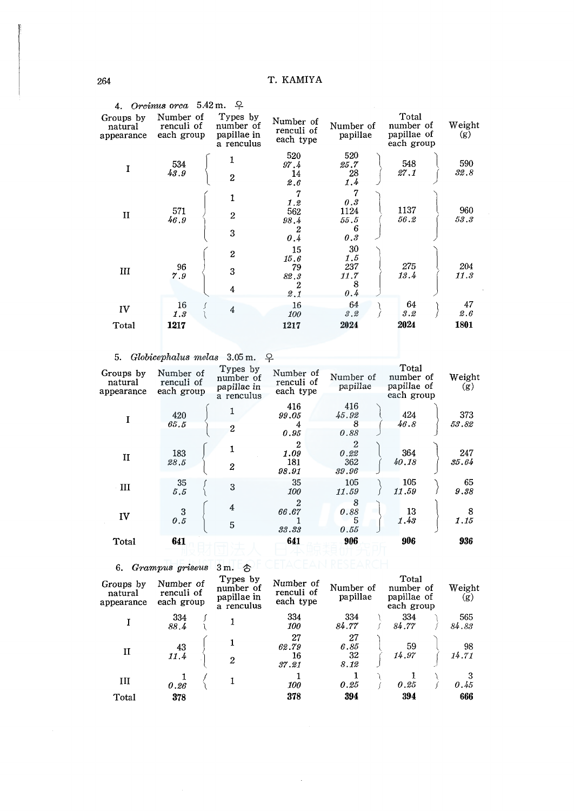|                                    | 4. Orcinus orca $5.42$ m.             | - 8                                                |                                      |                                      |                                                 |               |
|------------------------------------|---------------------------------------|----------------------------------------------------|--------------------------------------|--------------------------------------|-------------------------------------------------|---------------|
| Groups by<br>natural<br>appearance | Number of<br>renculi of<br>each group | Types by<br>number of<br>papillae in<br>a renculus | Number of<br>renculi of<br>each type | Number of<br>papillae                | Total<br>number of<br>papillae of<br>each group | Weight<br>(g) |
| I                                  | 534<br>43.9                           | 1<br>$\overline{c}$                                | 520<br>97.4<br>14<br>2.6             | 520<br>25.7<br>28<br>1.4             | 548<br>27.1                                     | 590<br>32.8   |
| П                                  | 571<br>46.9                           | 1<br>$\overline{c}$<br>3                           | 1.2<br>562<br>98.4<br>2<br>0.4       | 7<br>0.3<br>1124<br>55.5<br>6<br>0.3 | 1137<br>56.2                                    | 960<br>53.3   |
| Ш                                  | 96<br>7.9                             | $\boldsymbol{2}$<br>3<br>4                         | 15<br>15.6<br>79<br>82.3<br>2<br>2.1 | 30<br>1.5<br>237<br>11.7<br>8<br>0.4 | 275<br>13.4                                     | 204<br>11.3   |
| IV                                 | 16<br>1.3                             | $\overline{4}$                                     | 16<br>100                            | 64<br>3.2                            | 64<br>3.2                                       | 47<br>2.6     |
| Total                              | 1217                                  |                                                    | 1217                                 | 2024                                 | 2024                                            | 1801          |
|                                    |                                       |                                                    |                                      |                                      |                                                 |               |

5. *Globicephalus melas* 3.05 m.  $\varphi$ 

| 416<br>416<br>424<br>420<br>45.92<br>99.05<br>Ţ<br>46.8<br>65.5<br>8<br>4<br>$\overline{c}$<br>0.88<br>0.95<br>$\boldsymbol{2}$<br>$\boldsymbol{2}$<br>364<br>183<br>1.09<br>0.22<br>II<br>181<br>40.18<br>362<br>28.5<br>2<br>98.91<br>39.96<br>35<br>105<br>105<br>35<br>3<br>Ш<br>11.59<br>5.5<br>100<br>11.59<br>8<br>$\boldsymbol{2}$<br>$\overline{4}$<br>3<br>13<br>66.67<br>0.88<br>IV<br>0.5<br>1.43<br>5<br>5<br>33.33<br>0.55<br>906<br>936<br>906<br>641<br>641<br>Total | Groups by<br>natural<br>appearance | Number of<br>renculi of<br>each group | Types by<br>number of<br>papillae in<br>a renculus | Number of<br>renculi of<br>each type | Number of<br>papillae | Total<br>number of<br>papillae of<br>each group | Weight<br>(g) |
|--------------------------------------------------------------------------------------------------------------------------------------------------------------------------------------------------------------------------------------------------------------------------------------------------------------------------------------------------------------------------------------------------------------------------------------------------------------------------------------|------------------------------------|---------------------------------------|----------------------------------------------------|--------------------------------------|-----------------------|-------------------------------------------------|---------------|
|                                                                                                                                                                                                                                                                                                                                                                                                                                                                                      |                                    |                                       |                                                    |                                      |                       |                                                 | 373<br>53.82  |
|                                                                                                                                                                                                                                                                                                                                                                                                                                                                                      |                                    |                                       |                                                    |                                      |                       |                                                 | 247<br>35.64  |
|                                                                                                                                                                                                                                                                                                                                                                                                                                                                                      |                                    |                                       |                                                    |                                      |                       |                                                 | 65<br>9.38    |
|                                                                                                                                                                                                                                                                                                                                                                                                                                                                                      |                                    |                                       |                                                    |                                      |                       |                                                 | 8<br>1.15     |
|                                                                                                                                                                                                                                                                                                                                                                                                                                                                                      |                                    |                                       |                                                    |                                      |                       |                                                 |               |

6. *Grampus griseus* 3m.  $\circled$ 

| Groups by<br>natural<br>appearance | Number of<br>renculi of<br>each group | Types by<br>number of<br>papillae in<br>a renculus | Number of<br>renculi of<br>each type | Number of<br>papillae    |  | Total<br>number of<br>papillae of<br>each group |  | Weight<br>(g) |  |
|------------------------------------|---------------------------------------|----------------------------------------------------|--------------------------------------|--------------------------|--|-------------------------------------------------|--|---------------|--|
|                                    | 334<br>88.4                           |                                                    | 334<br>100                           | 334<br>84.77             |  | 334<br>84.77                                    |  | 565<br>84.83  |  |
| $_{\rm II}$                        | 43<br>11.4                            | $\mathbf{2}$                                       | 27<br>62.79<br>16<br>37.21           | 27<br>6.85<br>32<br>8.12 |  | 59<br>14.97                                     |  | 98<br>14.71   |  |
| Ш                                  | 0.26                                  |                                                    | 100                                  | 0.25                     |  | 0.25                                            |  | 3<br>0.45     |  |
| Total                              | 378                                   |                                                    | 378                                  | 394                      |  | 394                                             |  | 666           |  |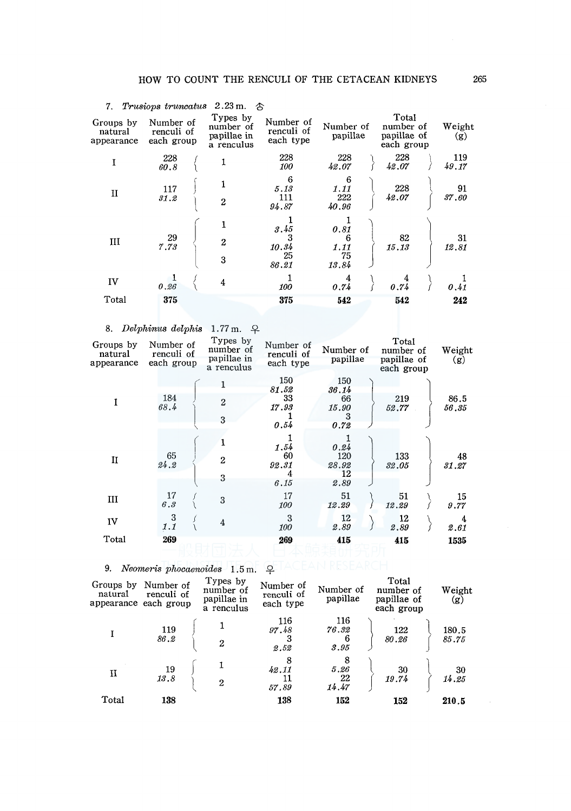|                                    | 7. Trusiops truncatus                 | $2.23 \text{ m.}$ 含                                |                                      |                                  |                                                 |                               |
|------------------------------------|---------------------------------------|----------------------------------------------------|--------------------------------------|----------------------------------|-------------------------------------------------|-------------------------------|
| Groups by<br>natural<br>appearance | Number of<br>renculi of<br>each group | Types by<br>number of<br>papillae in<br>a renculus | Number of<br>renculi of<br>each type | Number of<br>papillae            | Total<br>number of<br>papillae of<br>each group | Weight<br>$\langle g \rangle$ |
| I                                  | 228<br>60.8                           |                                                    | 228<br>100                           | 228<br>42.07                     | 228<br>42.07                                    | 119<br>49.17                  |
| $\mathbf{I}$                       | 117<br>31.2                           | $\overline{2}$                                     | 6<br>5.13<br>111<br>94.87            | 6<br>1.11<br>222<br>40.96        | 228<br>42.07                                    | 91<br>37.60                   |
| Ш                                  | 29<br>7.73                            | $\overline{2}$<br>3                                | 3.45<br>3<br>10.34<br>25<br>86.21    | 0.81<br>6<br>1.11<br>75<br>13.84 | 82<br>15.13                                     | 31<br>12.81                   |
| IV                                 | 0.26                                  | 4                                                  | 100                                  | 4<br>0.74                        | 0.74                                            | 0.41                          |
| Total                              | 375                                   |                                                    | 375                                  | 542                              | 542                                             | 242                           |

# 8. *Delphinus delphis* 1.77 m.  $\varphi$

| Groups by<br>natural<br>appearance | Number of<br>renculi of<br>each group | Types by<br>number of<br>papillae in<br>a renculus | Number of<br>renculi of<br>each type | Number of<br>papillae                    | Total<br>number of<br>papillae of<br>each group | Weight<br>(g) |
|------------------------------------|---------------------------------------|----------------------------------------------------|--------------------------------------|------------------------------------------|-------------------------------------------------|---------------|
| Ī                                  | 184<br>68.4                           | $\overline{2}$<br>3                                | 150<br>81.52<br>33<br>17.93<br>0.54  | 150<br>36.14<br>66<br>15.90<br>3<br>0.72 | 219<br>52.77                                    | 86.5<br>56.35 |
| П                                  | 65<br>24.2                            | $\mathbf{2}$<br>3                                  | 1.54<br>60<br>92.31<br>4<br>6.15     | 0.24<br>120<br>28.92<br>12<br>2.89       | 133<br>32.05                                    | 48<br>31.27   |
| Ш                                  | 17<br>6.3                             | 3                                                  | 17<br>100                            | 51<br>12.29                              | 51<br>12.29                                     | 15<br>9.77    |
| IV                                 | 3<br>1.1                              | $\overline{4}$                                     | 3<br>100                             | 12<br>2.89                               | 12<br>2.89                                      | 4<br>2.61     |
| Total                              | 269                                   |                                                    | 269                                  | 415                                      | 415                                             | 1535          |

9. *Neomeris phocaenoides* 1.5m.  $\varphi$  ACEAN RESEARCH

| Groups by<br>natural | Number of<br>renculi of<br>appearance each group | Types by<br>number of<br>papillae in<br>a renculus | Number of<br>renculi of<br>each type | Number of<br>papillae     | Total<br>number of<br>papillae of<br>each group | Weight<br>(g)  |
|----------------------|--------------------------------------------------|----------------------------------------------------|--------------------------------------|---------------------------|-------------------------------------------------|----------------|
|                      | 119<br>86.2                                      | $\overline{2}$                                     | 116<br>97.48<br>3<br>2.52            | 116<br>76.32<br>6<br>3.95 | 122<br>80.26                                    | 180.5<br>85.75 |
| и                    | 19<br>13.8                                       | $\overline{2}$                                     | 8<br>42.11<br>11<br>57.89            | 8<br>5.26<br>22<br>14.47  | 30<br>19.74                                     | 30<br>14.25    |
| Total                | 138                                              |                                                    | 138                                  | 152                       | 152                                             | 210.5          |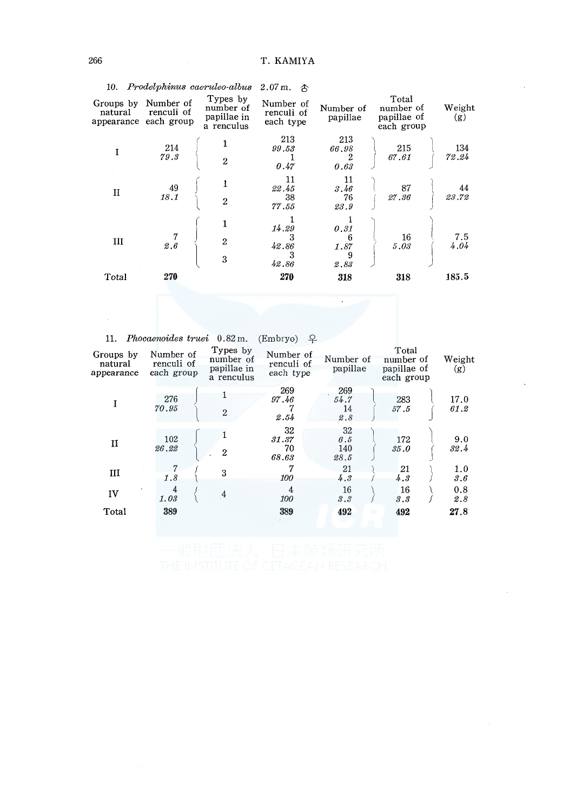|                                    |                                       | 10. Prodelphinus caeruleo-albus 2.07 m.            | क़                                   |                                |                                                 |               |
|------------------------------------|---------------------------------------|----------------------------------------------------|--------------------------------------|--------------------------------|-------------------------------------------------|---------------|
| Groups by<br>natural<br>appearance | Number of<br>renculi of<br>each group | Types by<br>number of<br>papillae in<br>a renculus | Number of<br>renculi of<br>each type | Number of<br>papillae          | Total<br>number of<br>papillae of<br>each group | Weight<br>(g) |
|                                    | 214<br>79.3                           | $\overline{2}$                                     | 213<br>99.53<br>0.47                 | 213<br>66.98<br>2<br>0.63      | 215<br>67.61                                    | 134<br>72.24  |
| $\mathbf{I}$                       | 49<br>18.1                            | $\overline{2}$                                     | 11<br>22.45<br>38<br>77.55           | 11<br>3.46<br>76<br>23.9       | 87<br>27.36                                     | 44<br>23.72   |
| Ш                                  | 2.6                                   | $\overline{2}$<br>3                                | 14.29<br>3<br>42.86<br>3<br>42.86    | 0.31<br>6<br>1.87<br>9<br>2.83 | 16<br>5.03                                      | 7.5<br>4.04   |
| Total                              | 270                                   |                                                    | 270                                  | 318                            | 318                                             | 185.5         |

11. *Phocaenoides truei* 0.82 m. (Embryo)  $\varphi$ 

| Groups by<br>natural<br>appearance | Number of<br>renculi of<br>each group | Types by<br>number of<br>papillae in<br>a renculus | Number of<br>renculi of<br>each type | Number of<br>papillae    | Total<br>number of<br>papillae of<br>each group | Weight<br>(g) |
|------------------------------------|---------------------------------------|----------------------------------------------------|--------------------------------------|--------------------------|-------------------------------------------------|---------------|
|                                    | 276<br>70.95                          | $\overline{2}$                                     | 269<br>97.46<br>2.54                 | 269<br>54.7<br>14<br>2.8 | 283<br>57.5                                     | 17.0<br>61.2  |
| П                                  | 102<br>26.22                          | $\boldsymbol{2}$                                   | 32<br>31.37<br>70<br>68.63           | 32<br>6.5<br>140<br>28.5 | 172<br>35.0                                     | 9.0<br>32.4   |
| Ш                                  | 7<br>1.8                              | 3                                                  | 7<br>100                             | 21<br>4.3                | 21<br>4.3                                       | 1.0<br>3.6    |
| IV                                 | 4<br>1.03                             | $\overline{4}$                                     | 4<br>100                             | 16<br>3.3                | 16<br>3.3                                       | 0.8<br>2.8    |
| Total                              | 389                                   |                                                    | 389                                  | 492                      | 492                                             | 27.8          |
|                                    |                                       |                                                    |                                      |                          |                                                 |               |